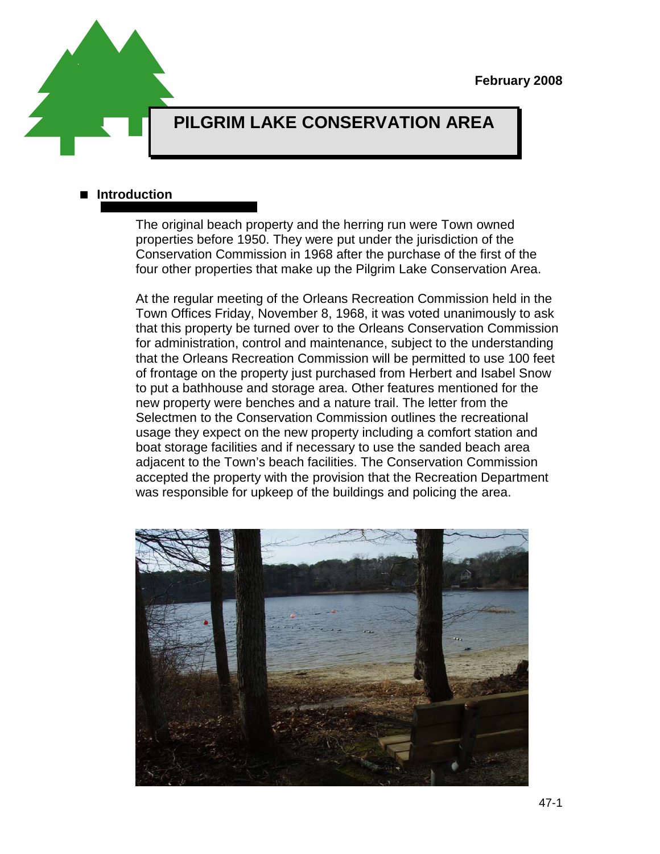

# **PILGRIM LAKE CONSERVATION AREA**

#### **Introduction**

The original beach property and the herring run were Town owned properties before 1950. They were put under the jurisdiction of the Conservation Commission in 1968 after the purchase of the first of the four other properties that make up the Pilgrim Lake Conservation Area.

At the regular meeting of the Orleans Recreation Commission held in the Town Offices Friday, November 8, 1968, it was voted unanimously to ask that this property be turned over to the Orleans Conservation Commission for administration, control and maintenance, subject to the understanding that the Orleans Recreation Commission will be permitted to use 100 feet of frontage on the property just purchased from Herbert and Isabel Snow to put a bathhouse and storage area. Other features mentioned for the new property were benches and a nature trail. The letter from the Selectmen to the Conservation Commission outlines the recreational usage they expect on the new property including a comfort station and boat storage facilities and if necessary to use the sanded beach area adjacent to the Town's beach facilities. The Conservation Commission accepted the property with the provision that the Recreation Department was responsible for upkeep of the buildings and policing the area.

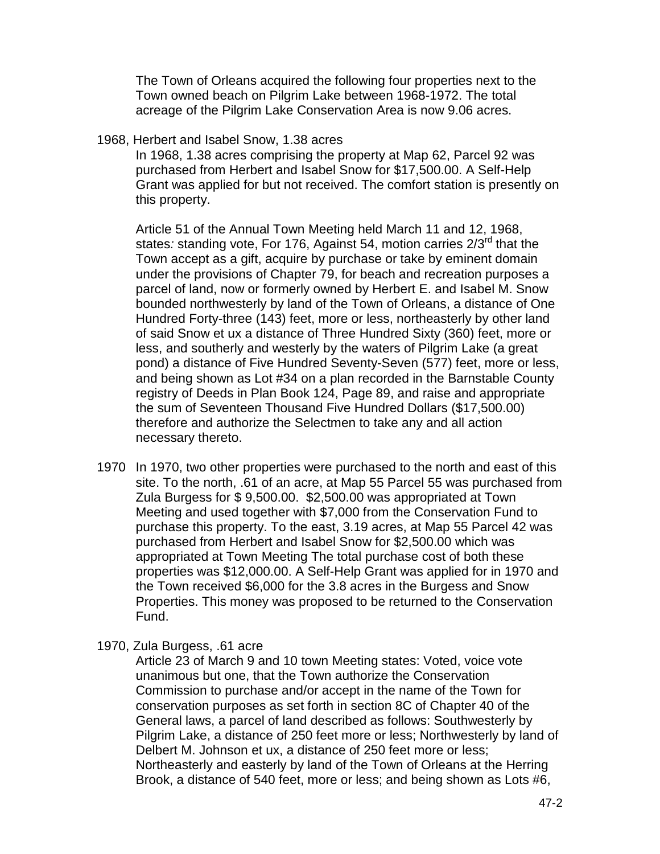The Town of Orleans acquired the following four properties next to the Town owned beach on Pilgrim Lake between 1968-1972. The total acreage of the Pilgrim Lake Conservation Area is now 9.06 acres.

1968, Herbert and Isabel Snow, 1.38 acres

In 1968, 1.38 acres comprising the property at Map 62, Parcel 92 was purchased from Herbert and Isabel Snow for \$17,500.00. A Self-Help Grant was applied for but not received. The comfort station is presently on this property.

Article 51 of the Annual Town Meeting held March 11 and 12, 1968, states*:* standing vote, For 176, Against 54, motion carries 2/3rd that the Town accept as a gift, acquire by purchase or take by eminent domain under the provisions of Chapter 79, for beach and recreation purposes a parcel of land, now or formerly owned by Herbert E. and Isabel M. Snow bounded northwesterly by land of the Town of Orleans, a distance of One Hundred Forty-three (143) feet, more or less, northeasterly by other land of said Snow et ux a distance of Three Hundred Sixty (360) feet, more or less, and southerly and westerly by the waters of Pilgrim Lake (a great pond) a distance of Five Hundred Seventy-Seven (577) feet, more or less, and being shown as Lot #34 on a plan recorded in the Barnstable County registry of Deeds in Plan Book 124, Page 89, and raise and appropriate the sum of Seventeen Thousand Five Hundred Dollars (\$17,500.00) therefore and authorize the Selectmen to take any and all action necessary thereto.

- 1970 In 1970, two other properties were purchased to the north and east of this site. To the north, .61 of an acre, at Map 55 Parcel 55 was purchased from Zula Burgess for \$ 9,500.00. \$2,500.00 was appropriated at Town Meeting and used together with \$7,000 from the Conservation Fund to purchase this property. To the east, 3.19 acres, at Map 55 Parcel 42 was purchased from Herbert and Isabel Snow for \$2,500.00 which was appropriated at Town Meeting The total purchase cost of both these properties was \$12,000.00. A Self-Help Grant was applied for in 1970 and the Town received \$6,000 for the 3.8 acres in the Burgess and Snow Properties. This money was proposed to be returned to the Conservation Fund.
- 1970, Zula Burgess, .61 acre

Article 23 of March 9 and 10 town Meeting states: Voted, voice vote unanimous but one, that the Town authorize the Conservation Commission to purchase and/or accept in the name of the Town for conservation purposes as set forth in section 8C of Chapter 40 of the General laws, a parcel of land described as follows: Southwesterly by Pilgrim Lake, a distance of 250 feet more or less; Northwesterly by land of Delbert M. Johnson et ux, a distance of 250 feet more or less; Northeasterly and easterly by land of the Town of Orleans at the Herring Brook, a distance of 540 feet, more or less; and being shown as Lots #6,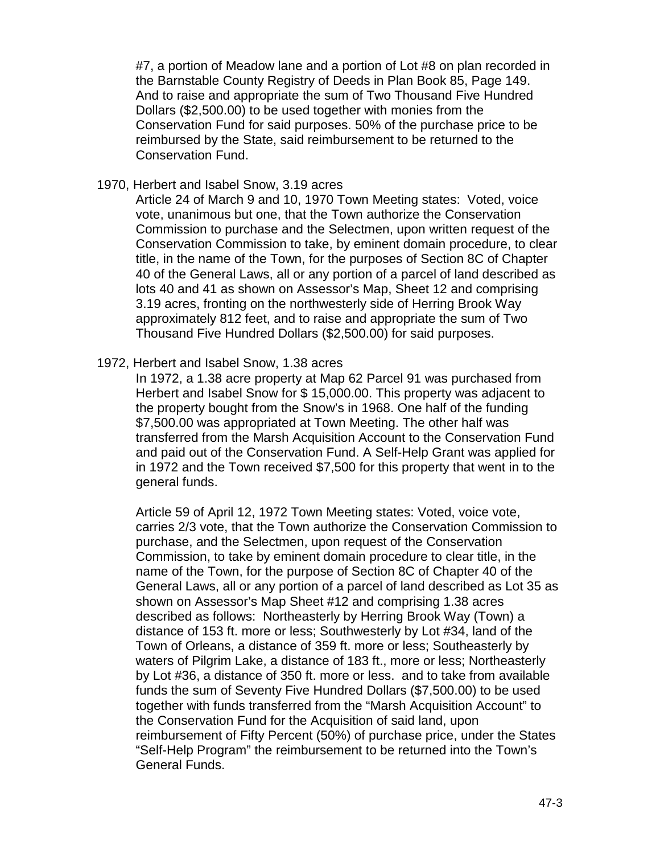#7, a portion of Meadow lane and a portion of Lot #8 on plan recorded in the Barnstable County Registry of Deeds in Plan Book 85, Page 149. And to raise and appropriate the sum of Two Thousand Five Hundred Dollars (\$2,500.00) to be used together with monies from the Conservation Fund for said purposes. 50% of the purchase price to be reimbursed by the State, said reimbursement to be returned to the Conservation Fund.

1970, Herbert and Isabel Snow, 3.19 acres

Article 24 of March 9 and 10, 1970 Town Meeting states: Voted, voice vote, unanimous but one, that the Town authorize the Conservation Commission to purchase and the Selectmen, upon written request of the Conservation Commission to take, by eminent domain procedure, to clear title, in the name of the Town, for the purposes of Section 8C of Chapter 40 of the General Laws, all or any portion of a parcel of land described as lots 40 and 41 as shown on Assessor's Map, Sheet 12 and comprising 3.19 acres, fronting on the northwesterly side of Herring Brook Way approximately 812 feet, and to raise and appropriate the sum of Two Thousand Five Hundred Dollars (\$2,500.00) for said purposes.

1972, Herbert and Isabel Snow, 1.38 acres

In 1972, a 1.38 acre property at Map 62 Parcel 91 was purchased from Herbert and Isabel Snow for \$ 15,000.00. This property was adjacent to the property bought from the Snow's in 1968. One half of the funding \$7,500.00 was appropriated at Town Meeting. The other half was transferred from the Marsh Acquisition Account to the Conservation Fund and paid out of the Conservation Fund. A Self-Help Grant was applied for in 1972 and the Town received \$7,500 for this property that went in to the general funds.

Article 59 of April 12, 1972 Town Meeting states: Voted, voice vote, carries 2/3 vote, that the Town authorize the Conservation Commission to purchase, and the Selectmen, upon request of the Conservation Commission, to take by eminent domain procedure to clear title, in the name of the Town, for the purpose of Section 8C of Chapter 40 of the General Laws, all or any portion of a parcel of land described as Lot 35 as shown on Assessor's Map Sheet #12 and comprising 1.38 acres described as follows: Northeasterly by Herring Brook Way (Town) a distance of 153 ft. more or less; Southwesterly by Lot #34, land of the Town of Orleans, a distance of 359 ft. more or less; Southeasterly by waters of Pilgrim Lake, a distance of 183 ft., more or less; Northeasterly by Lot #36, a distance of 350 ft. more or less. and to take from available funds the sum of Seventy Five Hundred Dollars (\$7,500.00) to be used together with funds transferred from the "Marsh Acquisition Account" to the Conservation Fund for the Acquisition of said land, upon reimbursement of Fifty Percent (50%) of purchase price, under the States "Self-Help Program" the reimbursement to be returned into the Town's General Funds.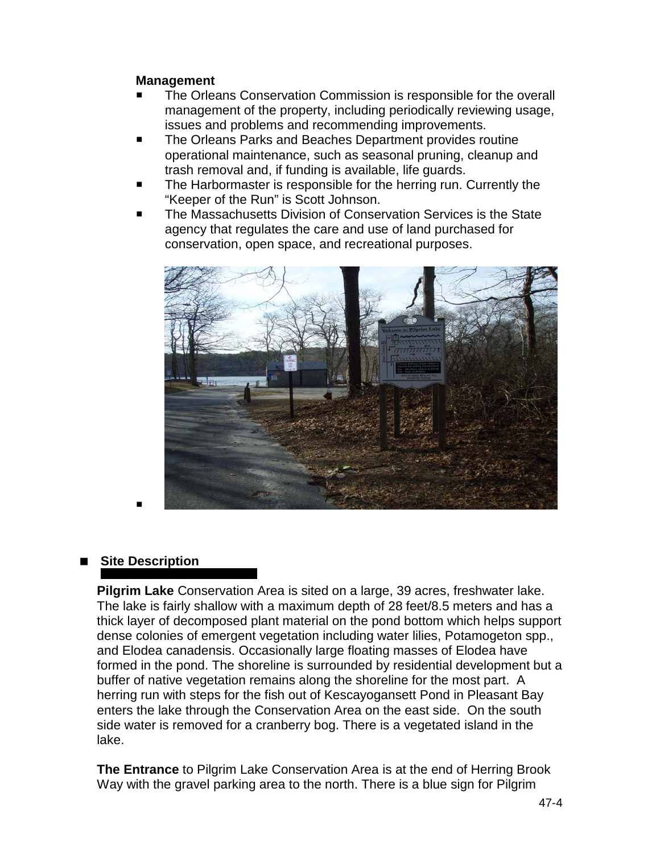#### **Management**

- The Orleans Conservation Commission is responsible for the overall management of the property, including periodically reviewing usage, issues and problems and recommending improvements.
- The Orleans Parks and Beaches Department provides routine operational maintenance, such as seasonal pruning, cleanup and trash removal and, if funding is available, life guards.
- The Harbormaster is responsible for the herring run. Currently the "Keeper of the Run" is Scott Johnson.
- The Massachusetts Division of Conservation Services is the State agency that regulates the care and use of land purchased for conservation, open space, and recreational purposes.



# ■ Site Description

**Pilgrim Lake** Conservation Area is sited on a large, 39 acres, freshwater lake. The lake is fairly shallow with a maximum depth of 28 feet/8.5 meters and has a thick layer of decomposed plant material on the pond bottom which helps support dense colonies of emergent vegetation including water lilies, Potamogeton spp., and Elodea canadensis. Occasionally large floating masses of Elodea have formed in the pond. The shoreline is surrounded by residential development but a buffer of native vegetation remains along the shoreline for the most part. A herring run with steps for the fish out of Kescayogansett Pond in Pleasant Bay enters the lake through the Conservation Area on the east side. On the south side water is removed for a cranberry bog. There is a vegetated island in the lake.

**The Entrance** to Pilgrim Lake Conservation Area is at the end of Herring Brook Way with the gravel parking area to the north. There is a blue sign for Pilgrim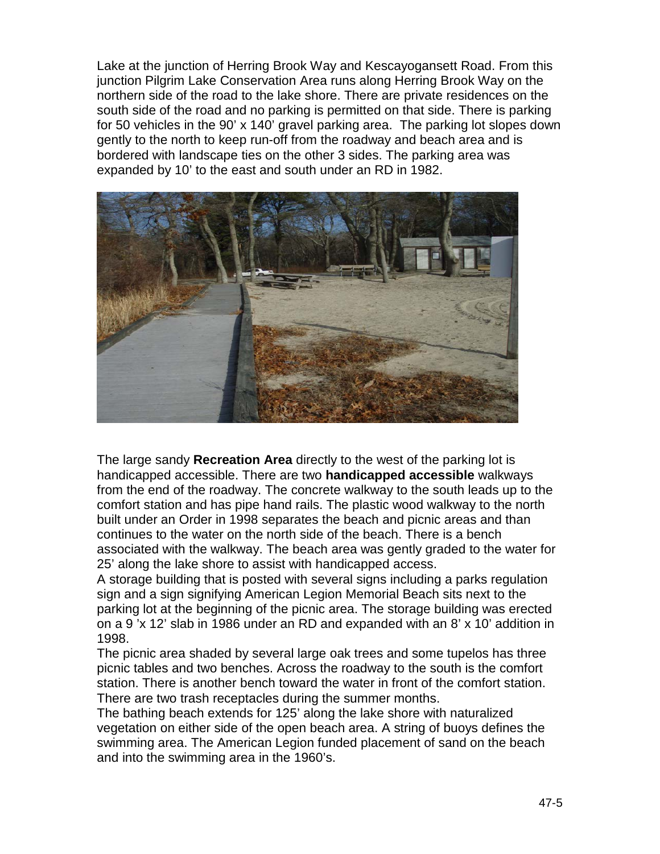Lake at the junction of Herring Brook Way and Kescayogansett Road. From this junction Pilgrim Lake Conservation Area runs along Herring Brook Way on the northern side of the road to the lake shore. There are private residences on the south side of the road and no parking is permitted on that side. There is parking for 50 vehicles in the 90' x 140' gravel parking area. The parking lot slopes down gently to the north to keep run-off from the roadway and beach area and is bordered with landscape ties on the other 3 sides. The parking area was expanded by 10' to the east and south under an RD in 1982.



The large sandy **Recreation Area** directly to the west of the parking lot is handicapped accessible. There are two **handicapped accessible** walkways from the end of the roadway. The concrete walkway to the south leads up to the comfort station and has pipe hand rails. The plastic wood walkway to the north built under an Order in 1998 separates the beach and picnic areas and than continues to the water on the north side of the beach. There is a bench associated with the walkway. The beach area was gently graded to the water for 25' along the lake shore to assist with handicapped access.

A storage building that is posted with several signs including a parks regulation sign and a sign signifying American Legion Memorial Beach sits next to the parking lot at the beginning of the picnic area. The storage building was erected on a 9 'x 12' slab in 1986 under an RD and expanded with an 8' x 10' addition in 1998.

The picnic area shaded by several large oak trees and some tupelos has three picnic tables and two benches. Across the roadway to the south is the comfort station. There is another bench toward the water in front of the comfort station. There are two trash receptacles during the summer months.

The bathing beach extends for 125' along the lake shore with naturalized vegetation on either side of the open beach area. A string of buoys defines the swimming area. The American Legion funded placement of sand on the beach and into the swimming area in the 1960's.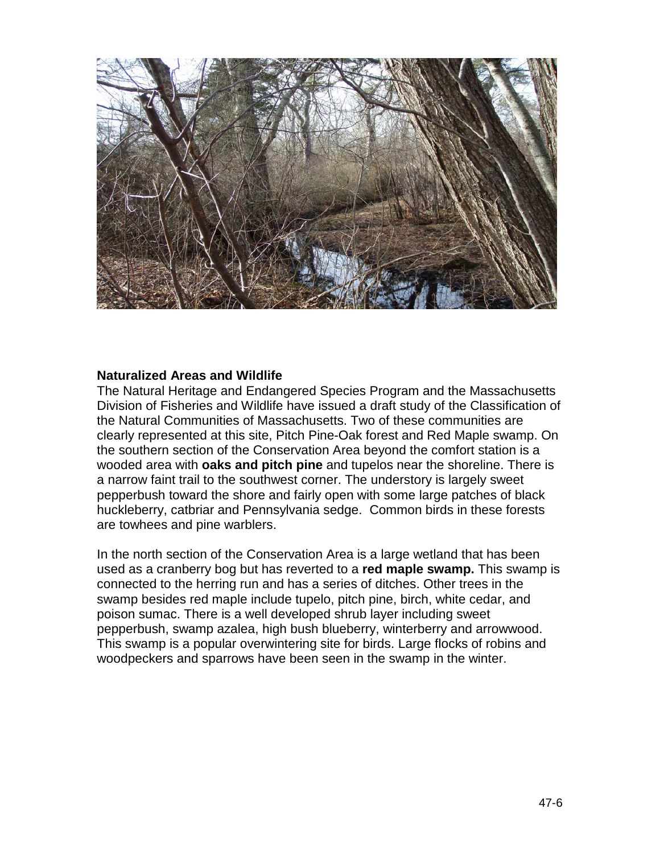

#### **Naturalized Areas and Wildlife**

The Natural Heritage and Endangered Species Program and the Massachusetts Division of Fisheries and Wildlife have issued a draft study of the Classification of the Natural Communities of Massachusetts. Two of these communities are clearly represented at this site, Pitch Pine-Oak forest and Red Maple swamp. On the southern section of the Conservation Area beyond the comfort station is a wooded area with **oaks and pitch pine** and tupelos near the shoreline. There is a narrow faint trail to the southwest corner. The understory is largely sweet pepperbush toward the shore and fairly open with some large patches of black huckleberry, catbriar and Pennsylvania sedge. Common birds in these forests are towhees and pine warblers.

In the north section of the Conservation Area is a large wetland that has been used as a cranberry bog but has reverted to a **red maple swamp.** This swamp is connected to the herring run and has a series of ditches. Other trees in the swamp besides red maple include tupelo, pitch pine, birch, white cedar, and poison sumac. There is a well developed shrub layer including sweet pepperbush, swamp azalea, high bush blueberry, winterberry and arrowwood. This swamp is a popular overwintering site for birds. Large flocks of robins and woodpeckers and sparrows have been seen in the swamp in the winter.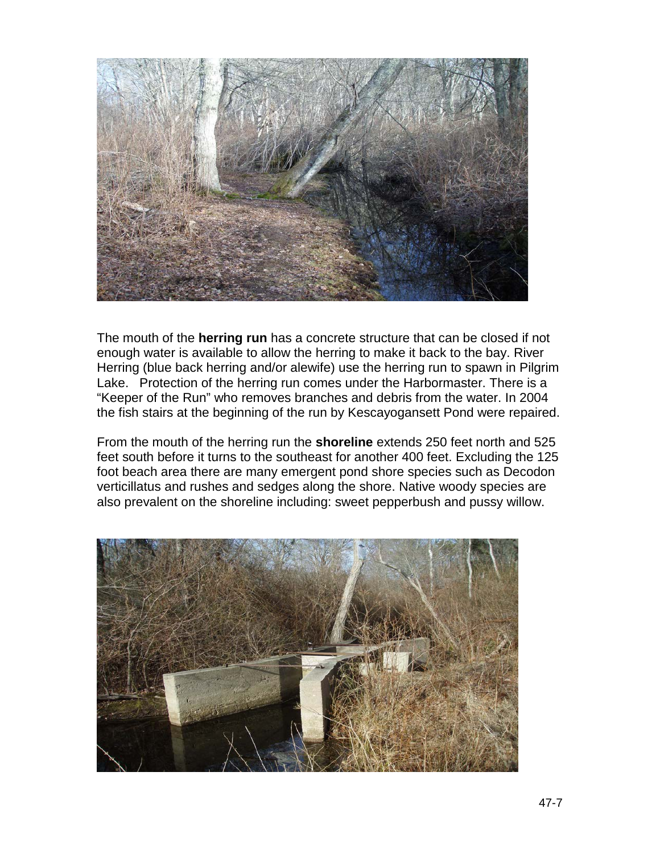

The mouth of the **herring run** has a concrete structure that can be closed if not enough water is available to allow the herring to make it back to the bay. River Herring (blue back herring and/or alewife) use the herring run to spawn in Pilgrim Lake. Protection of the herring run comes under the Harbormaster. There is a "Keeper of the Run" who removes branches and debris from the water. In 2004 the fish stairs at the beginning of the run by Kescayogansett Pond were repaired.

From the mouth of the herring run the **shoreline** extends 250 feet north and 525 feet south before it turns to the southeast for another 400 feet. Excluding the 125 foot beach area there are many emergent pond shore species such as Decodon verticillatus and rushes and sedges along the shore. Native woody species are also prevalent on the shoreline including: sweet pepperbush and pussy willow.

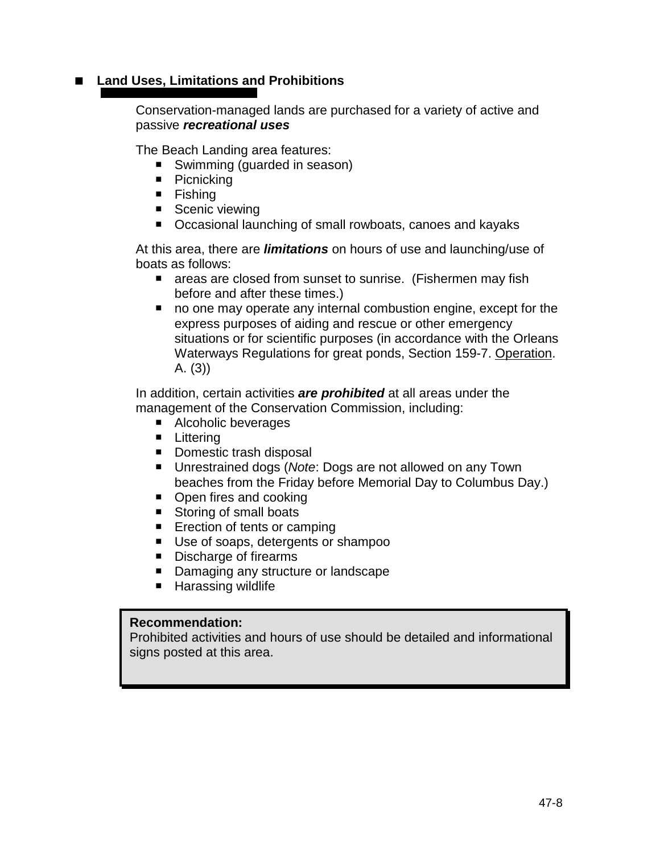# ■ Land Uses, Limitations and Prohibitions

Conservation-managed lands are purchased for a variety of active and passive *recreational uses*

The Beach Landing area features:

- Swimming (guarded in season)
- Picnicking
- **Fishing**
- Scenic viewing
- Occasional launching of small rowboats, canoes and kayaks

At this area, there are *limitations* on hours of use and launching/use of boats as follows:

- **E** areas are closed from sunset to sunrise. (Fishermen may fish before and after these times.)
- no one may operate any internal combustion engine, except for the express purposes of aiding and rescue or other emergency situations or for scientific purposes (in accordance with the Orleans Waterways Regulations for great ponds, Section 159-7. Operation. A. (3))

In addition, certain activities *are prohibited* at all areas under the management of the Conservation Commission, including:

- Alcoholic beverages
- **Littering**
- Domestic trash disposal
- Unrestrained dogs (*Note*: Dogs are not allowed on any Town beaches from the Friday before Memorial Day to Columbus Day.)
- Open fires and cooking
- Storing of small boats
- **Exection of tents or camping**
- Use of soaps, detergents or shampoo
- Discharge of firearms
- Damaging any structure or landscape
- **Harassing wildlife**

#### **Recommendation:**

Prohibited activities and hours of use should be detailed and informational signs posted at this area.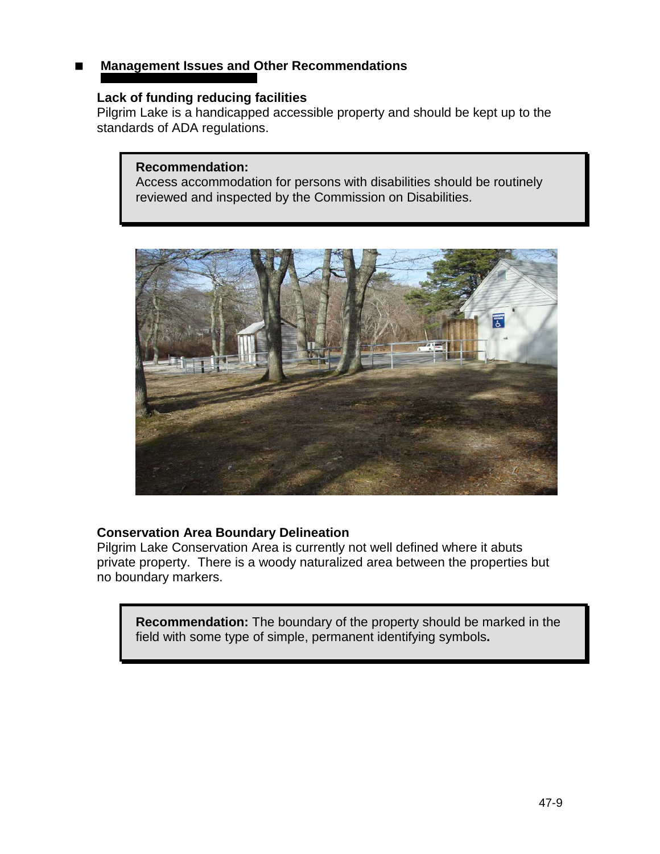# **Management Issues and Other Recommendations**

#### **Lack of funding reducing facilities**

Pilgrim Lake is a handicapped accessible property and should be kept up to the standards of ADA regulations.

#### **Recommendation:**

Access accommodation for persons with disabilities should be routinely reviewed and inspected by the Commission on Disabilities.



### **Conservation Area Boundary Delineation**

Pilgrim Lake Conservation Area is currently not well defined where it abuts private property. There is a woody naturalized area between the properties but no boundary markers.

**Recommendation:** The boundary of the property should be marked in the field with some type of simple, permanent identifying symbols**.**